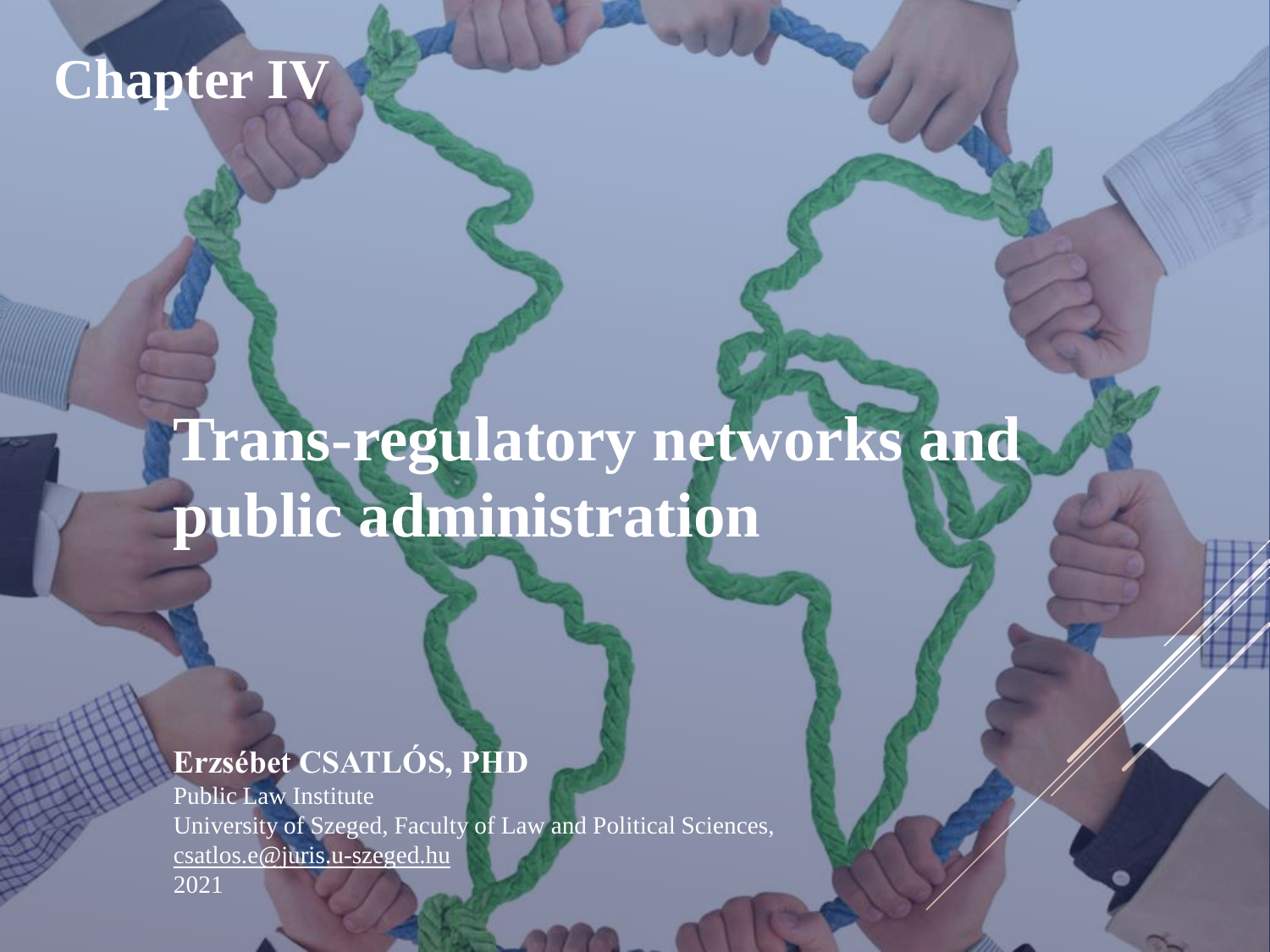### **Chapter IV**

# **Trans-regulatory networks and public administration**

#### **Erzsébet CSATLÓS, PHD**

Public Law Institute University of Szeged, Faculty of Law and Political Sciences, [csatlos.e@juris.u-szeged.hu](mailto:csatlos.e@juris.u-szeged.hu) 2021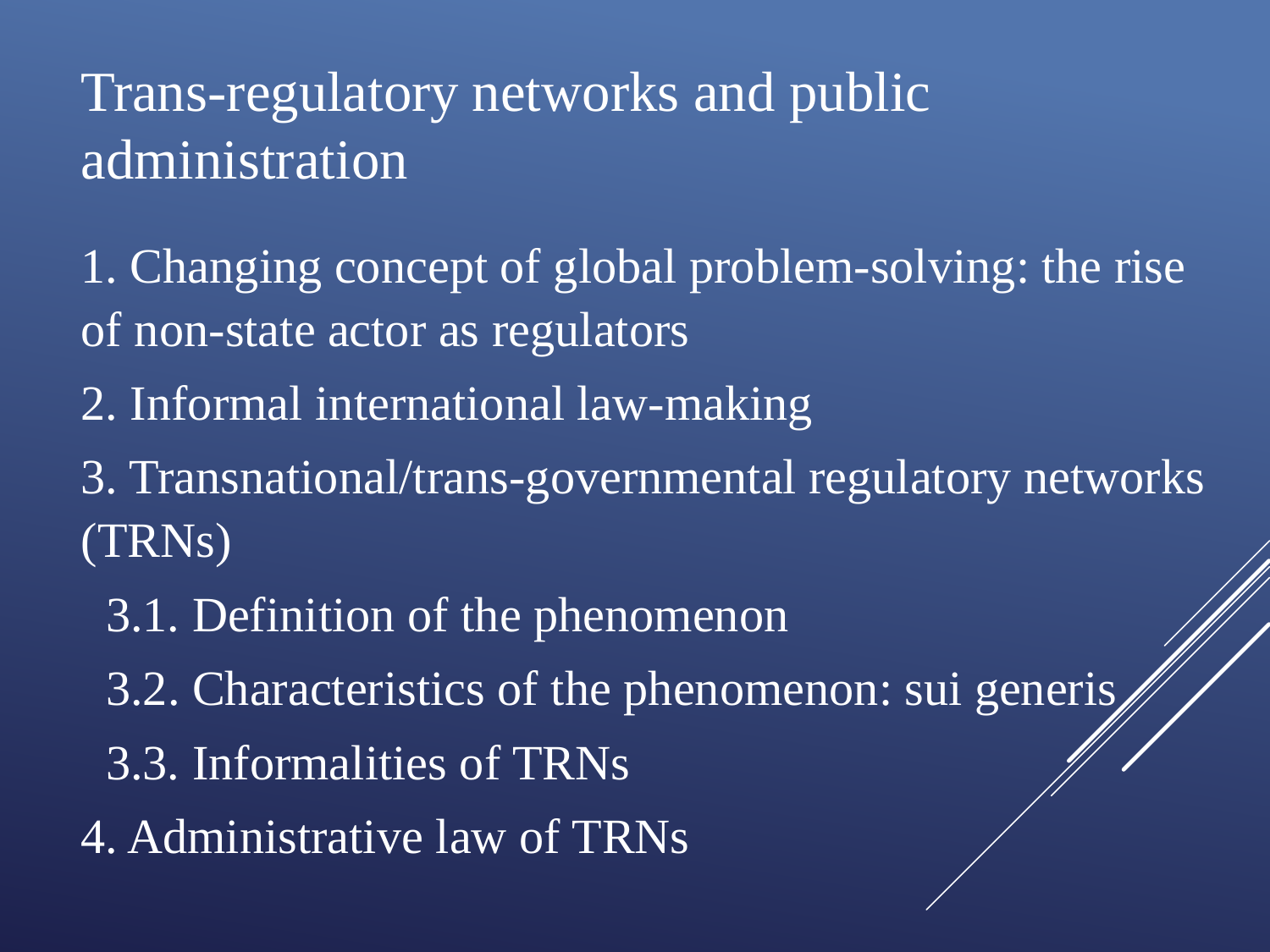## Trans-regulatory networks and public administration

1. Changing concept of global problem-solving: the rise of non-state actor as regulators

2. Informal international law-making

3. Transnational/trans-governmental regulatory networks (TRNs)

- 3.1. Definition of the phenomenon
- 3.2. Characteristics of the phenomenon: sui generis
- 3.3. Informalities of TRNs
- 4. Administrative law of TRNs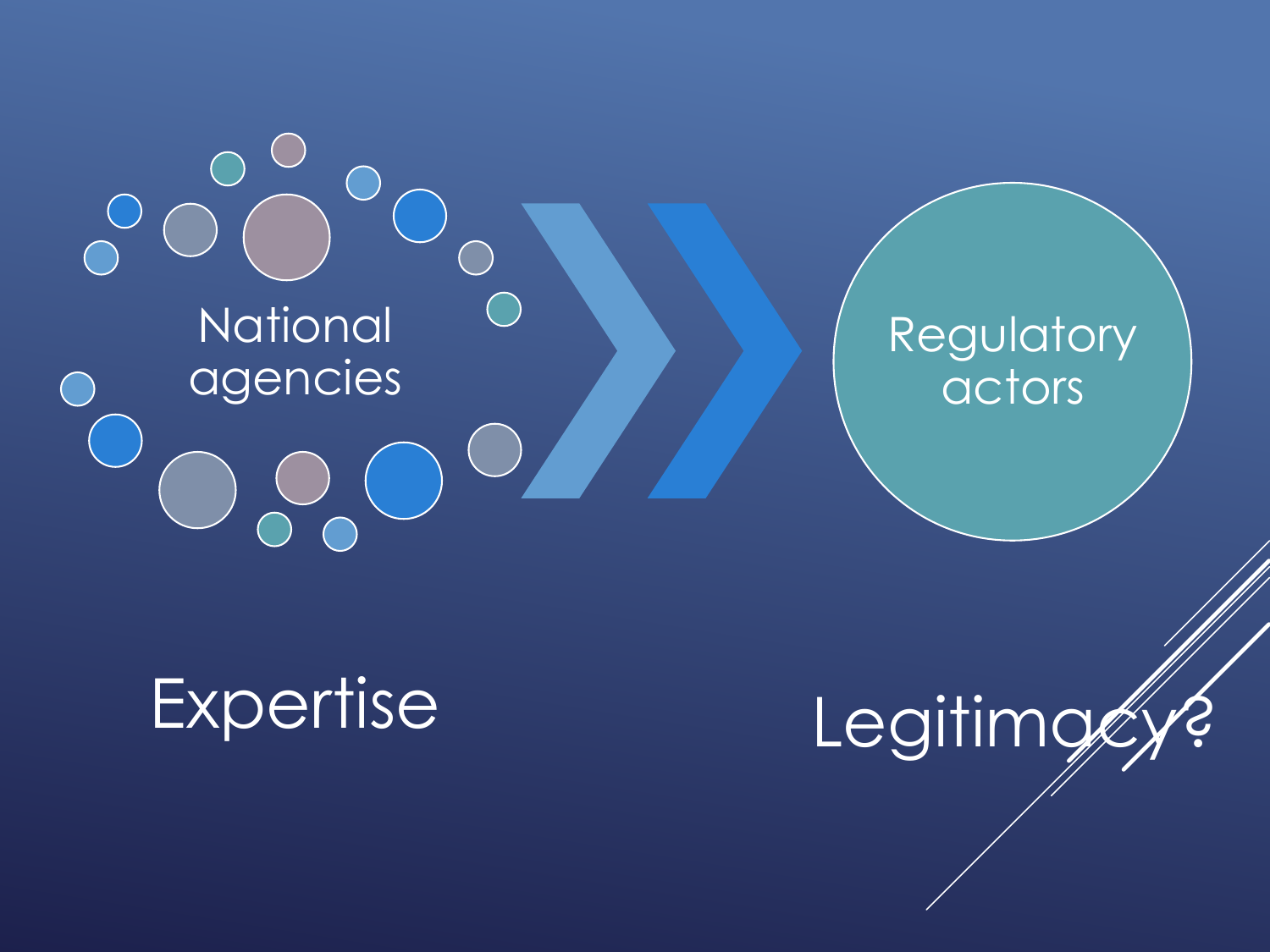$\bigcap$ **National** agencies

#### Regulatory actors

Expertise

Legitimg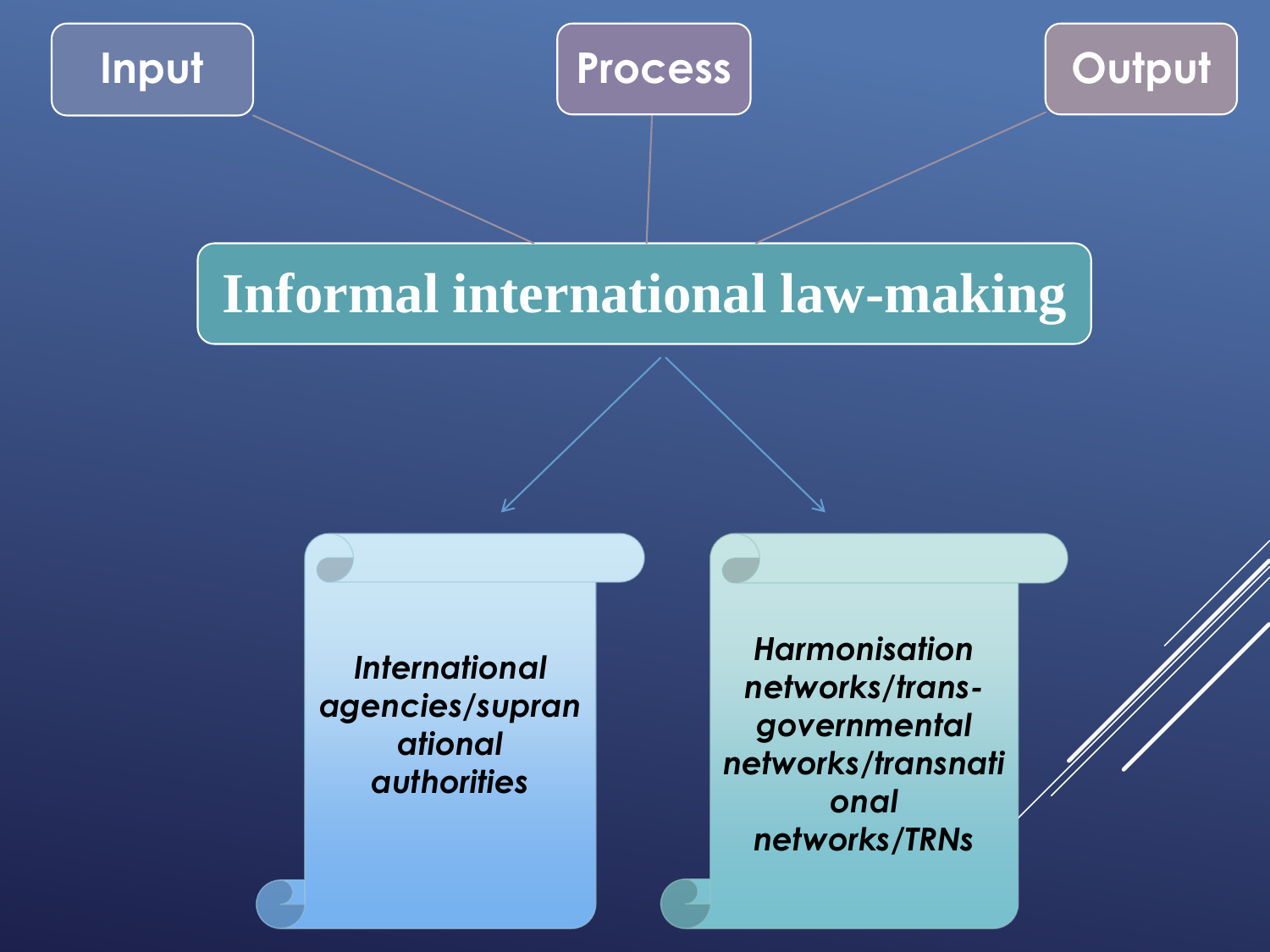



#### **Informal international law-making**

*International agencies/supran ational authorities* 

*Harmonisation networks/transgovernmental networks/transnati onal networks***/***TRNs*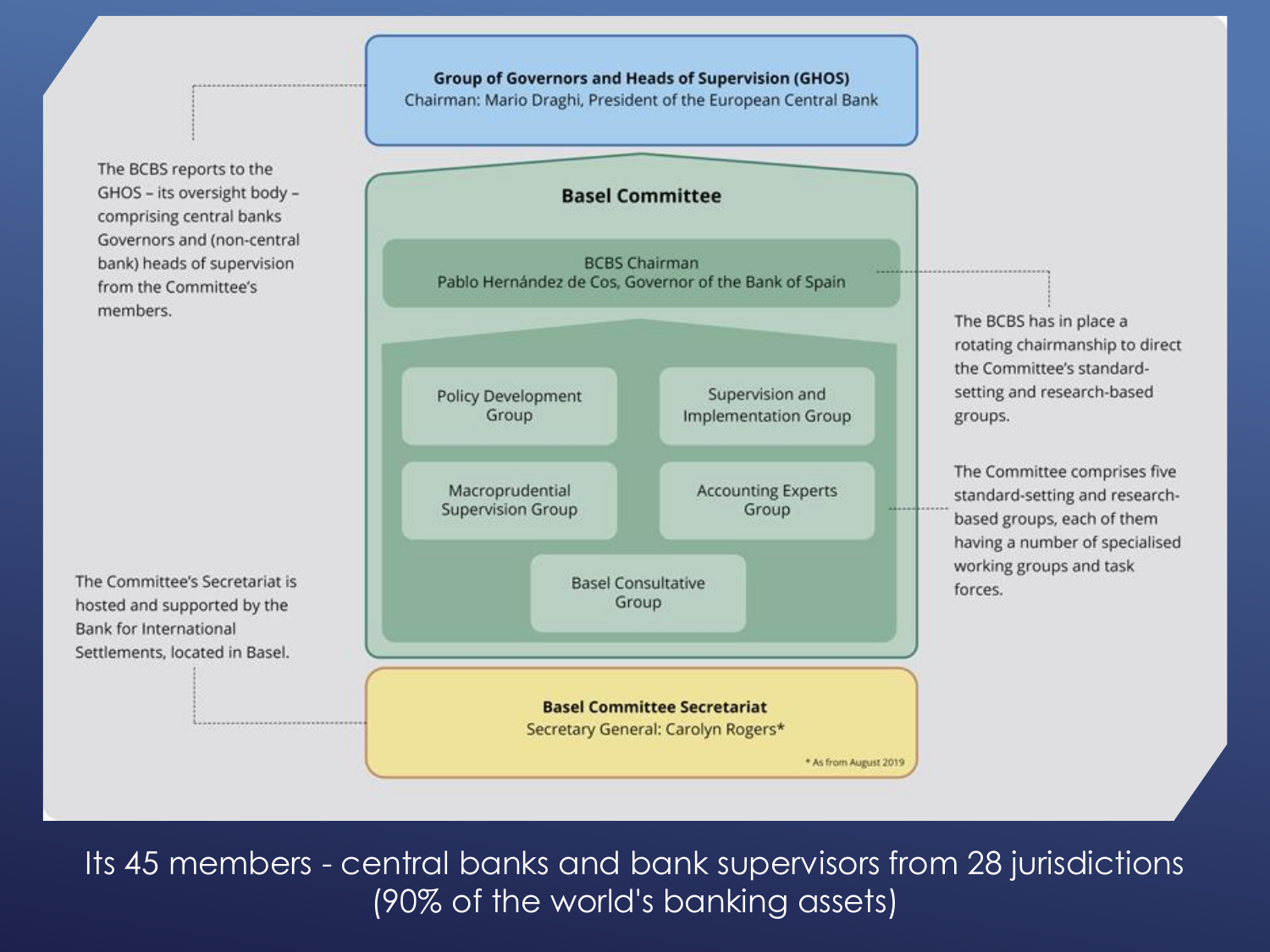The BCBS reports to the GHOS - its oversight body comprising central banks Governors and (non-central bank) heads of supervision from the Committee's members.

The Committee's Secretariat is hosted and supported by the Bank for International Settlements, located in Basel.



**Group of Governors and Heads of Supervision (GHOS)** Chairman: Mario Draghi, President of the European Central Bank

> **Basel Committee Secretariat** Secretary General: Carolyn Rogers\*

> > \* As from August 2019

The BCBS has in place a rotating chairmanship to direct the Committee's standardsetting and research-based

The Committee comprises five standard-setting and researchbased groups, each of them having a number of specialised working groups and task

Its 45 members - central banks and bank supervisors from 28 jurisdictions (90% of the world's banking assets)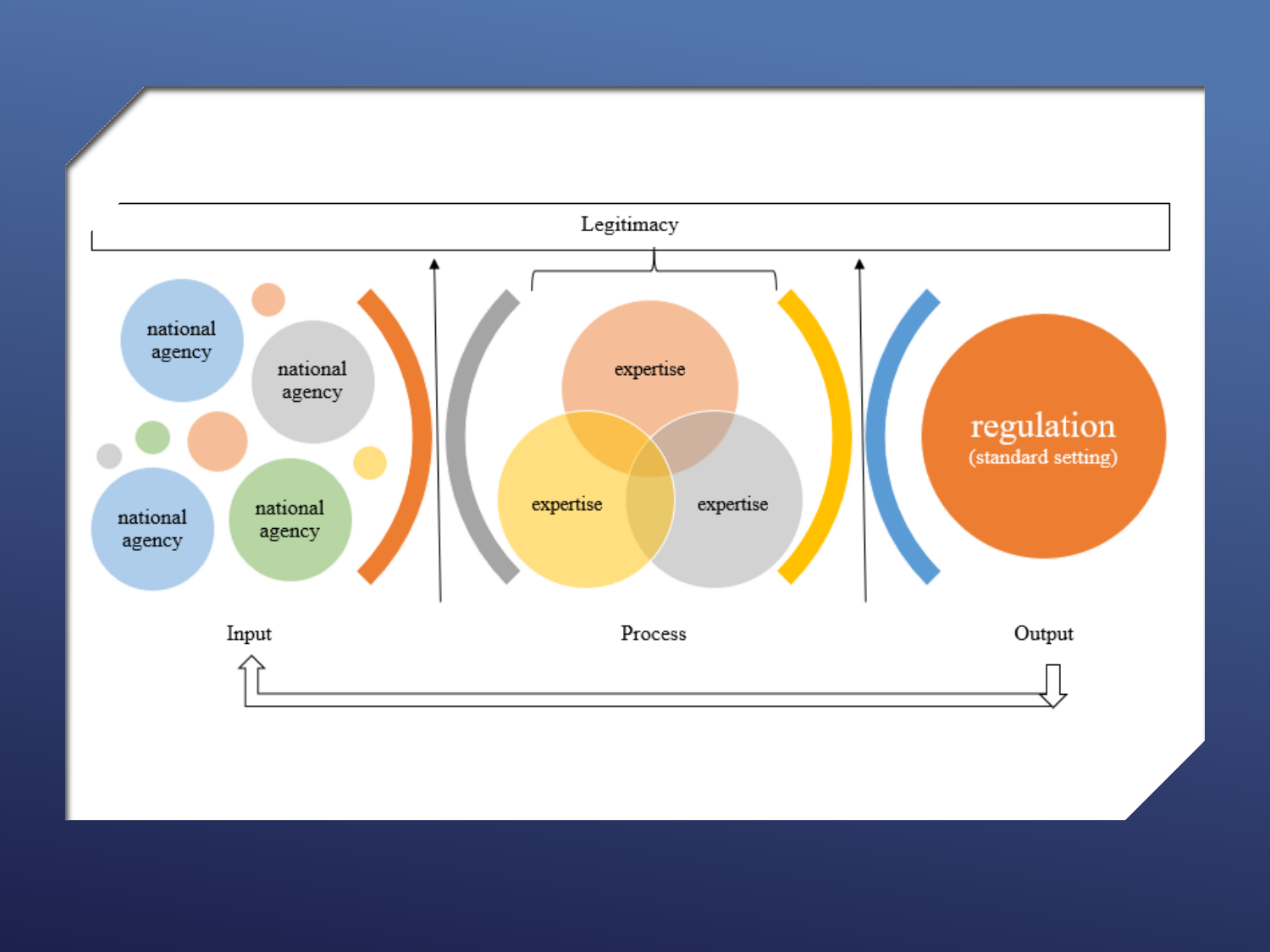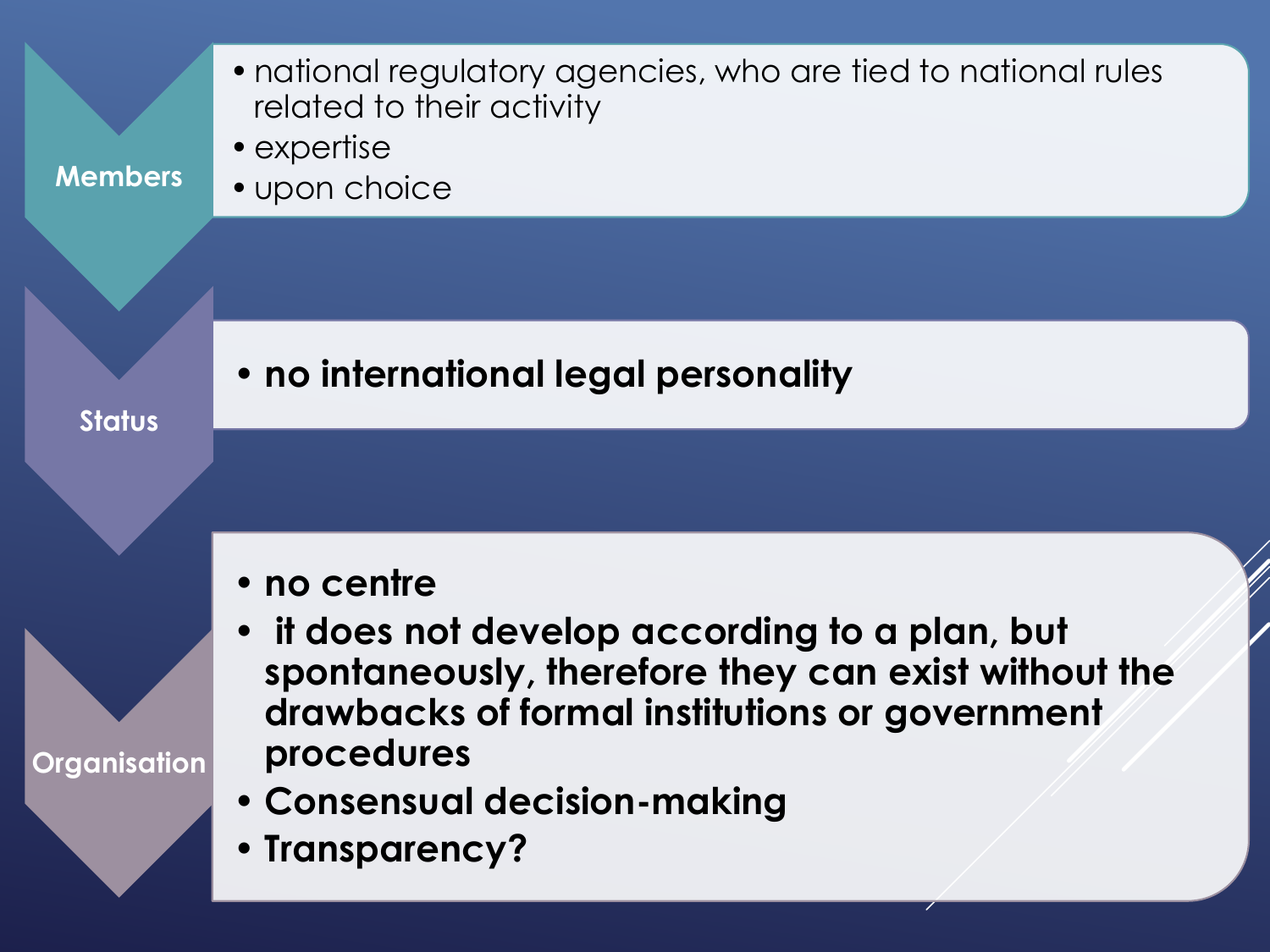| <b>Members</b> | • national regulatory agencies, who are tied to national rules<br>related to their activity<br>• expertise<br>• upon choice                                                                                                           |
|----------------|---------------------------------------------------------------------------------------------------------------------------------------------------------------------------------------------------------------------------------------|
|                | . no international legal personality                                                                                                                                                                                                  |
| <b>Status</b>  |                                                                                                                                                                                                                                       |
| Organisation   | • no centre<br>it does not develop according to a plan, but<br>spontaneously, therefore they can exist without the<br>drawbacks of formal institutions or government<br>procedures<br>• Consensual decision-making<br>• Transparency? |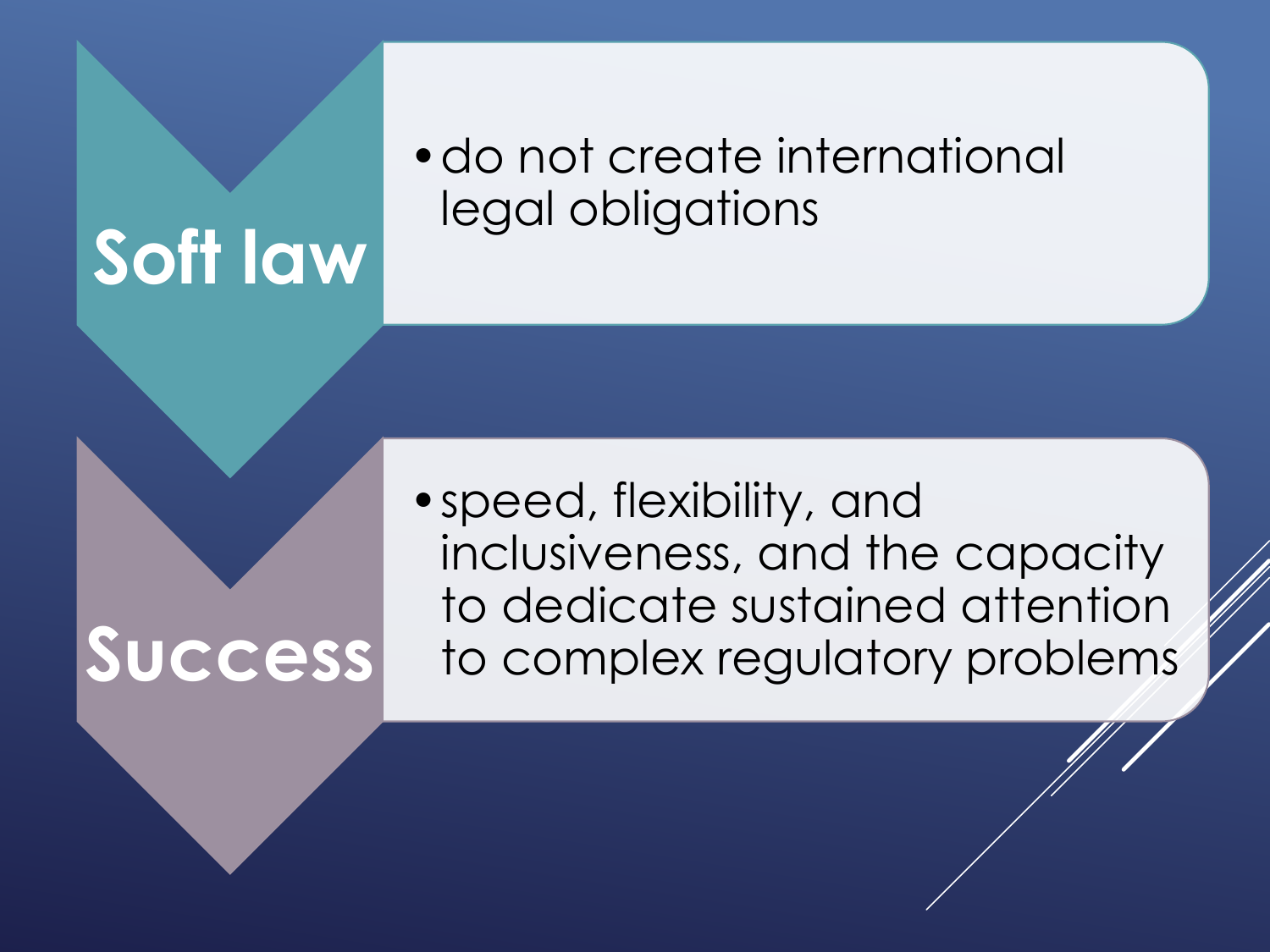# **Soft law**

#### •do not create international legal obligations

# **Success**

•speed, flexibility, and inclusiveness, and the capacity to dedicate sustained attention to complex regulatory problems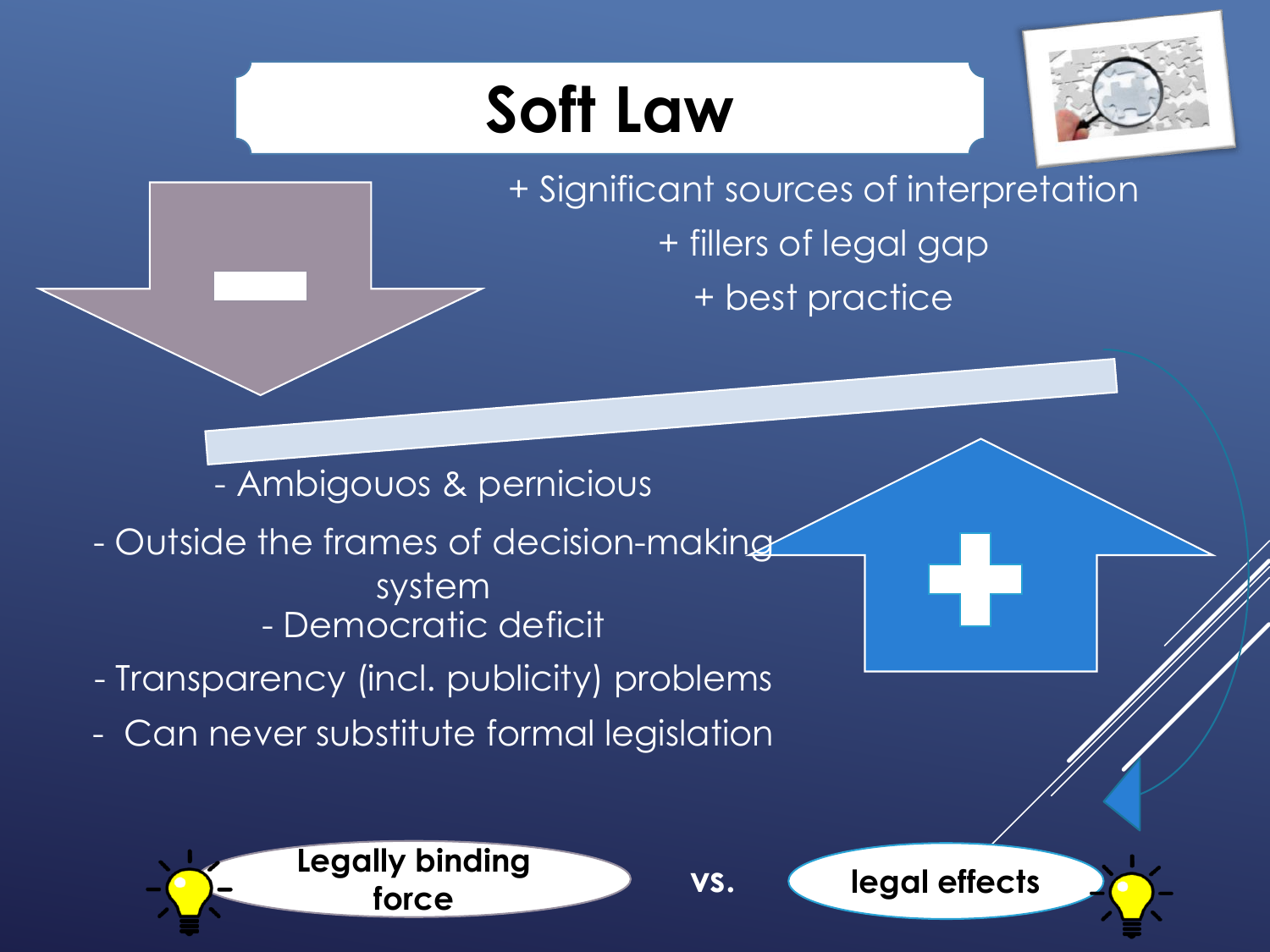# **Soft Law**



+ Significant sources of interpretation + fillers of legal gap + best practice

- Ambigouos & pernicious

- Outside the frames of decision-making system - Democratic deficit
- Transparency (incl. publicity) problems
- Can never substitute formal legislation





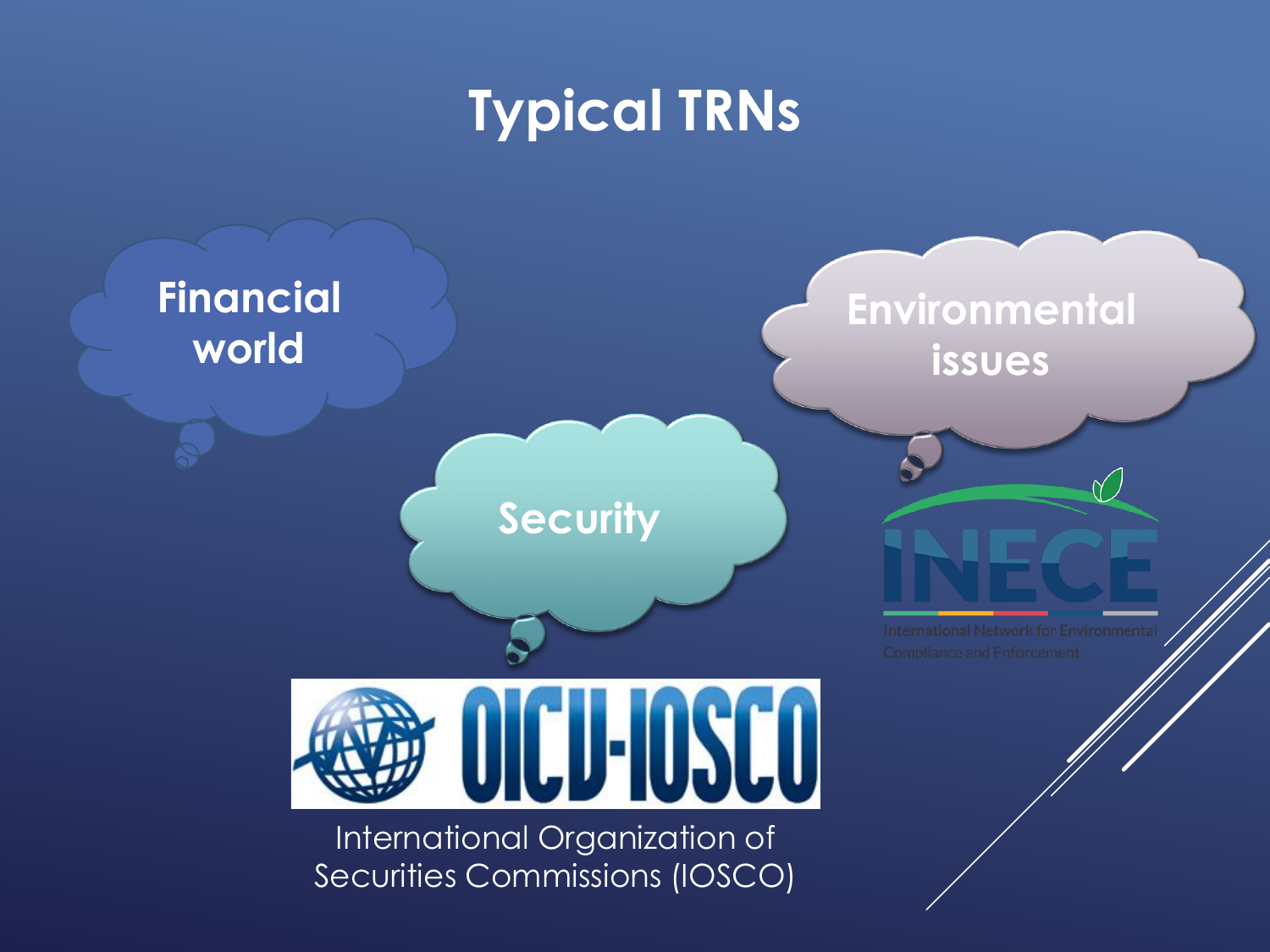# **Typical TRNs**

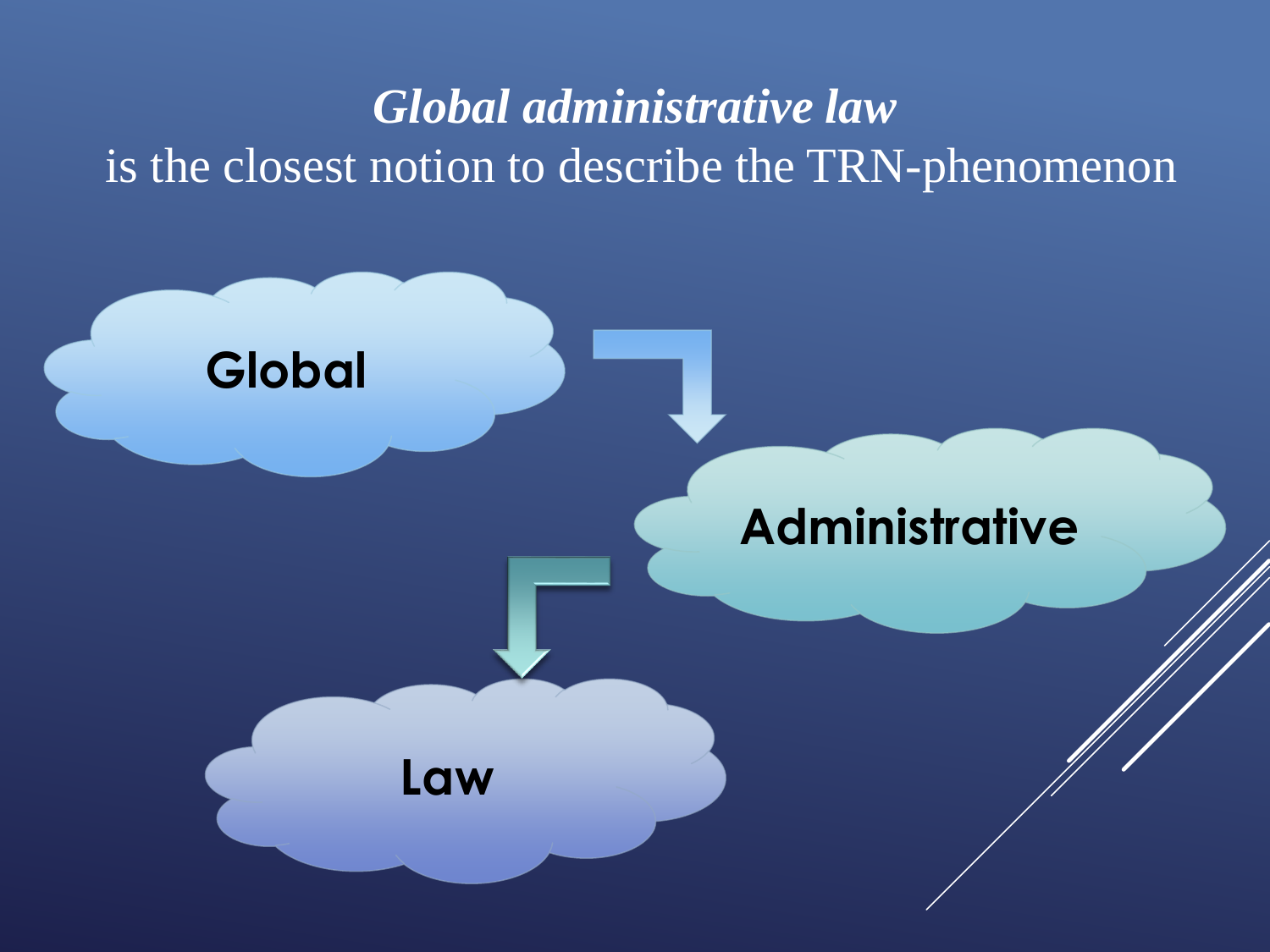#### *Global administrative law* is the closest notion to describe the TRN-phenomenon